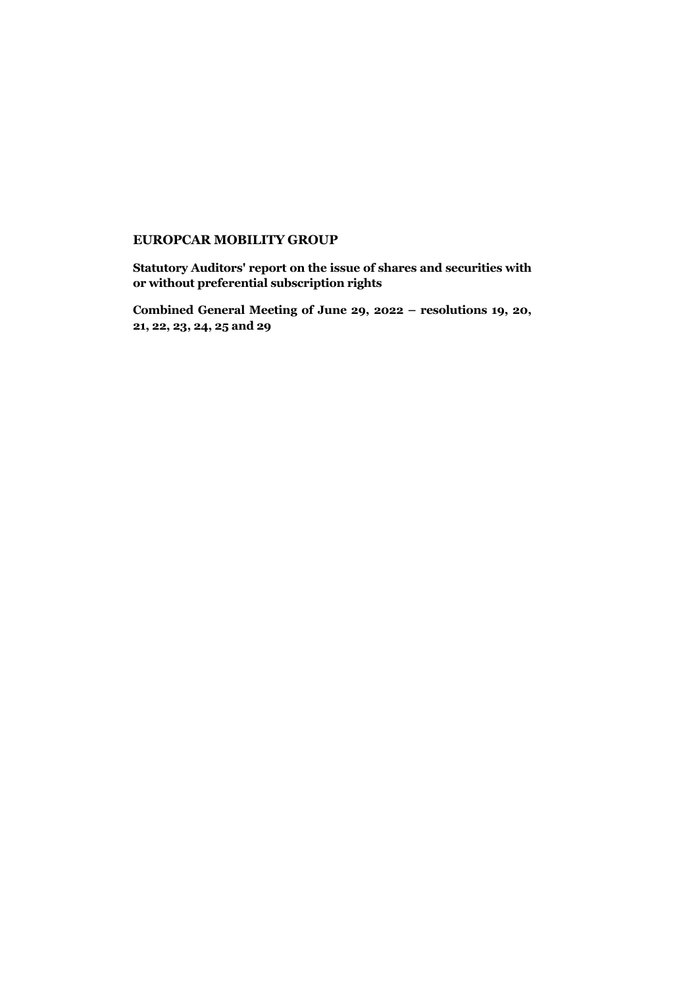## **EUROPCAR MOBILITY GROUP**

**Statutory Auditors' report on the issue of shares and securities with or without preferential subscription rights**

**Combined General Meeting of June 29, 2022 – resolutions 19, 20, 21, 22, 23, 24, 25 and 29**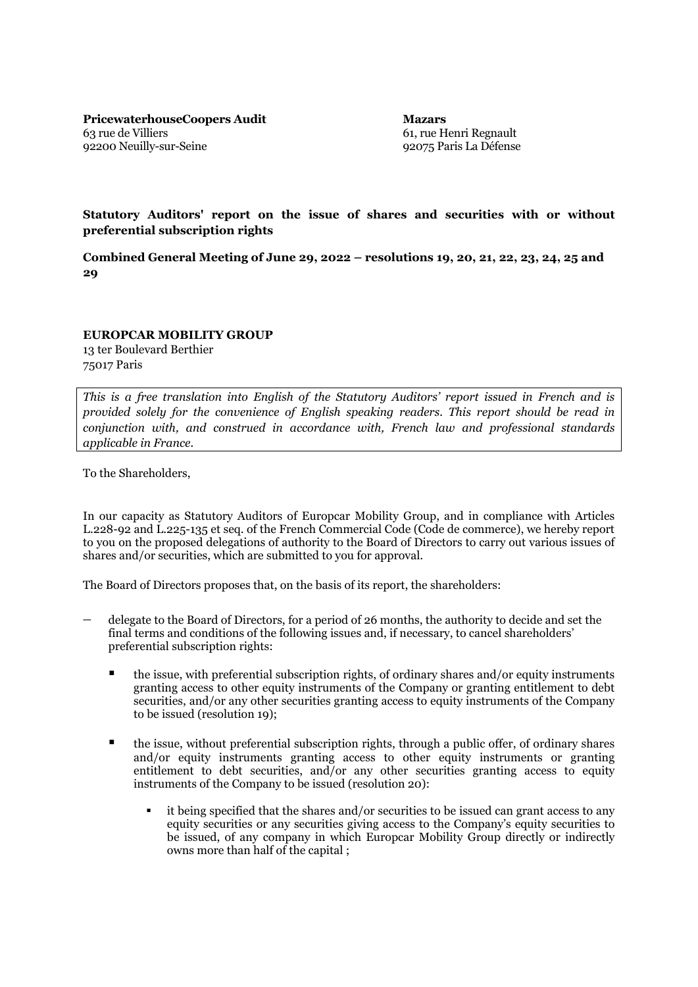**PricewaterhouseCoopers Audit** 63 rue de Villiers 92200 Neuilly-sur-Seine

**Mazars** 61, rue Henri Regnault 92075 Paris La Défense

**Statutory Auditors' report on the issue of shares and securities with or without preferential subscription rights**

**Combined General Meeting of June 29, 2022 – resolutions 19, 20, 21, 22, 23, 24, 25 and 29**

**EUROPCAR MOBILITY GROUP**

13 ter Boulevard Berthier 75017 Paris

*This is a free translation into English of the Statutory Auditors' report issued in French and is provided solely for the convenience of English speaking readers. This report should be read in conjunction with, and construed in accordance with, French law and professional standards applicable in France.*

To the Shareholders,

In our capacity as Statutory Auditors of Europcar Mobility Group, and in compliance with Articles L.228-92 and L.225-135 et seq. of the French Commercial Code (Code de commerce), we hereby report to you on the proposed delegations of authority to the Board of Directors to carry out various issues of shares and/or securities, which are submitted to you for approval.

The Board of Directors proposes that, on the basis of its report, the shareholders:

- delegate to the Board of Directors, for a period of 26 months, the authority to decide and set the final terms and conditions of the following issues and, if necessary, to cancel shareholders' preferential subscription rights:
	- the issue, with preferential subscription rights, of ordinary shares and/or equity instruments granting access to other equity instruments of the Company or granting entitlement to debt securities, and/or any other securities granting access to equity instruments of the Company to be issued (resolution 19);
	- the issue, without preferential subscription rights, through a public offer, of ordinary shares and/or equity instruments granting access to other equity instruments or granting entitlement to debt securities, and/or any other securities granting access to equity instruments of the Company to be issued (resolution 20):
		- it being specified that the shares and/or securities to be issued can grant access to any equity securities or any securities giving access to the Company's equity securities to be issued, of any company in which Europcar Mobility Group directly or indirectly owns more than half of the capital ;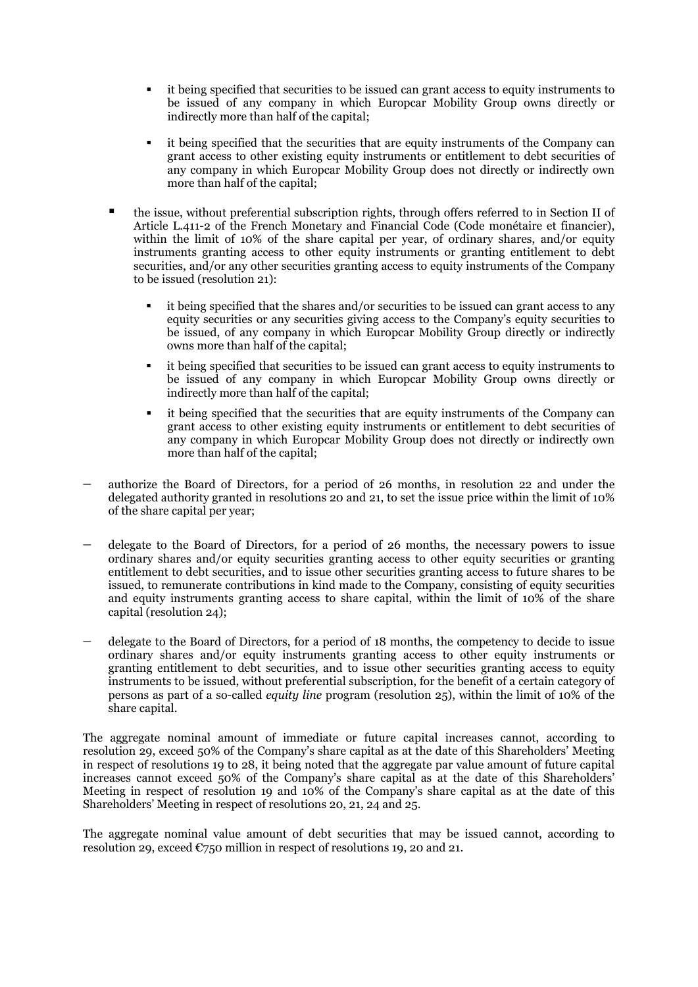- it being specified that securities to be issued can grant access to equity instruments to be issued of any company in which Europcar Mobility Group owns directly or indirectly more than half of the capital;
- it being specified that the securities that are equity instruments of the Company can grant access to other existing equity instruments or entitlement to debt securities of any company in which Europcar Mobility Group does not directly or indirectly own more than half of the capital;
- the issue, without preferential subscription rights, through offers referred to in Section II of Article L.411-2 of the French Monetary and Financial Code (Code monétaire et financier), within the limit of 10% of the share capital per year, of ordinary shares, and/or equity instruments granting access to other equity instruments or granting entitlement to debt securities, and/or any other securities granting access to equity instruments of the Company to be issued (resolution 21):
	- it being specified that the shares and/or securities to be issued can grant access to any equity securities or any securities giving access to the Company's equity securities to be issued, of any company in which Europcar Mobility Group directly or indirectly owns more than half of the capital;
	- it being specified that securities to be issued can grant access to equity instruments to be issued of any company in which Europcar Mobility Group owns directly or indirectly more than half of the capital;
	- it being specified that the securities that are equity instruments of the Company can grant access to other existing equity instruments or entitlement to debt securities of any company in which Europcar Mobility Group does not directly or indirectly own more than half of the capital;
- − authorize the Board of Directors, for a period of 26 months, in resolution 22 and under the delegated authority granted in resolutions 20 and 21, to set the issue price within the limit of 10% of the share capital per year;
- delegate to the Board of Directors, for a period of 26 months, the necessary powers to issue ordinary shares and/or equity securities granting access to other equity securities or granting entitlement to debt securities, and to issue other securities granting access to future shares to be issued, to remunerate contributions in kind made to the Company, consisting of equity securities and equity instruments granting access to share capital, within the limit of 10% of the share capital (resolution 24);
- − delegate to the Board of Directors, for a period of 18 months, the competency to decide to issue ordinary shares and/or equity instruments granting access to other equity instruments or granting entitlement to debt securities, and to issue other securities granting access to equity instruments to be issued, without preferential subscription, for the benefit of a certain category of persons as part of a so-called *equity line* program (resolution 25), within the limit of 10% of the share capital.

The aggregate nominal amount of immediate or future capital increases cannot, according to resolution 29, exceed 50% of the Company's share capital as at the date of this Shareholders' Meeting in respect of resolutions 19 to 28, it being noted that the aggregate par value amount of future capital increases cannot exceed 50% of the Company's share capital as at the date of this Shareholders' Meeting in respect of resolution 19 and 10% of the Company's share capital as at the date of this Shareholders' Meeting in respect of resolutions 20, 21, 24 and 25.

The aggregate nominal value amount of debt securities that may be issued cannot, according to resolution 29, exceed  $\epsilon$ 750 million in respect of resolutions 19, 20 and 21.